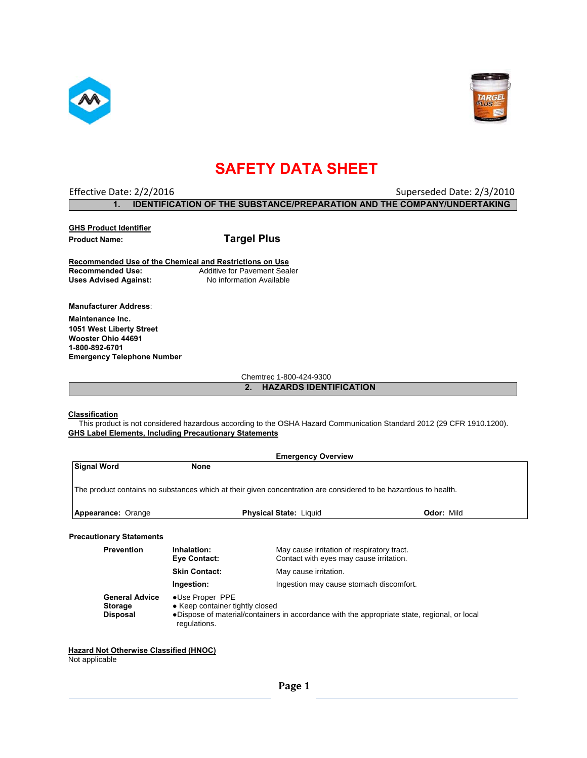



# **SAFETY DATA SHEET**

# Effective Date: 2/2/2016 **Superseded Date: 2/3/2010** Superseded Date: 2/3/2010 **1. IDENTIFICATION OF THE SUBSTANCE/PREPARATION AND THE COMPANY/UNDERTAKING**

**GHS Product Identifier Product Name: Targel Plus**

**Recommended Use of the Chemical and Restrictions on Use Additive for Pavement Sealer Uses Advised Against:** No information Available

**Manufacturer Address**: **Maintenance Inc**. **1051 West Liberty Street Wooster Ohio 44691 1-800-892-6701 Emergency Telephone Number** 

Chemtrec 1-800-424-9300

### **2. HAZARDS IDENTIFICATION**

#### **Classification**

 This product is not considered hazardous according to the OSHA Hazard Communication Standard 2012 (29 CFR 1910.1200). **GHS Label Elements, Including Precautionary Statements** 

|                                                            |                                                                    | <b>Emergency Overview</b>                                                                                       |                   |
|------------------------------------------------------------|--------------------------------------------------------------------|-----------------------------------------------------------------------------------------------------------------|-------------------|
| <b>Signal Word</b>                                         | <b>None</b>                                                        |                                                                                                                 |                   |
|                                                            |                                                                    | The product contains no substances which at their given concentration are considered to be hazardous to health. |                   |
| Appearance: Orange                                         |                                                                    | <b>Physical State: Liquid</b>                                                                                   | <b>Odor: Mild</b> |
| <b>Precautionary Statements</b>                            |                                                                    |                                                                                                                 |                   |
| <b>Prevention</b>                                          | Inhalation:<br>Eye Contact:                                        | May cause irritation of respiratory tract.<br>Contact with eyes may cause irritation.                           |                   |
|                                                            | <b>Skin Contact:</b>                                               | May cause irritation.                                                                                           |                   |
|                                                            | Ingestion:                                                         | Ingestion may cause stomach discomfort.                                                                         |                   |
| <b>General Advice</b><br><b>Storage</b><br><b>Disposal</b> | •Use Proper PPE<br>• Keep container tightly closed<br>regulations. | •Dispose of material/containers in accordance with the appropriate state, regional, or local                    |                   |

## **Hazard Not Otherwise Classified (HNOC)**

Not applicable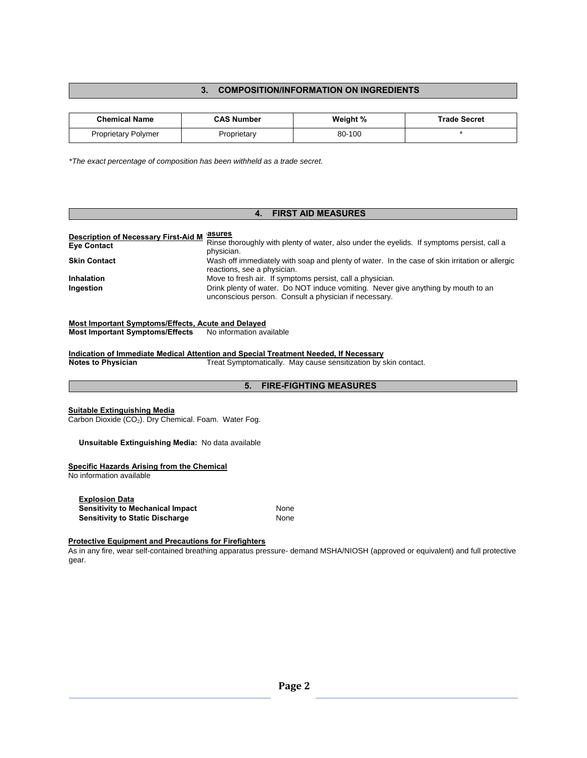## **3. COMPOSITION/INFORMATION ON INGREDIENTS**

| <b>Chemical Name</b>       | <b>CAS Number</b> | Weight % | <b>Trade Secret</b> |
|----------------------------|-------------------|----------|---------------------|
| <b>Proprietary Polymer</b> | Proprietary       | 80-100   |                     |

*\*The exact percentage of composition has been withheld as a trade secret.* 

#### **4. FIRST AID MEASURES Description of Necessary First-Aid M Eye Contact easures**  Rinse thoroughly with plenty of water, also under the eyelids. If symptoms persist, call a physician. **Skin Contact** Wash off immediately with soap and plenty of water. In the case of skin irritation or allergic reactions, see a physician. **Inhalation** Move to fresh air. If symptoms persist, call a physician. **Ingestion Instead in the UP of Water.** Do NOT induce vomiting. Never give anything by mouth to an unconscious person. Consult a physician if necessary.

## **Most Important Symptoms/Effects, Acute and Delayed**

**Most Important Symptoms/Effects** No information available

**Indication of Immediate Medical Attention and Special Treatment Needed, If Necessary** 

**Notes to Physician <b>Treat Symptomatically.** May cause sensitization by skin contact.

### **5. FIRE-FIGHTING MEASURES**

#### **Suitable Extinguishing Media**

Carbon Dioxide (CO<sub>2</sub>). Dry Chemical. Foam. Water Fog.

#### **Unsuitable Extinguishing Media:** No data available

#### **Specific Hazards Arising from the Chemical**

No information available

| <b>Explosion Data</b>                   |      |
|-----------------------------------------|------|
| <b>Sensitivity to Mechanical Impact</b> | None |
| <b>Sensitivity to Static Discharge</b>  | None |

#### **Protective Equipment and Precautions for Firefighters**

As in any fire, wear self-contained breathing apparatus pressure- demand MSHA/NIOSH (approved or equivalent) and full protective gear.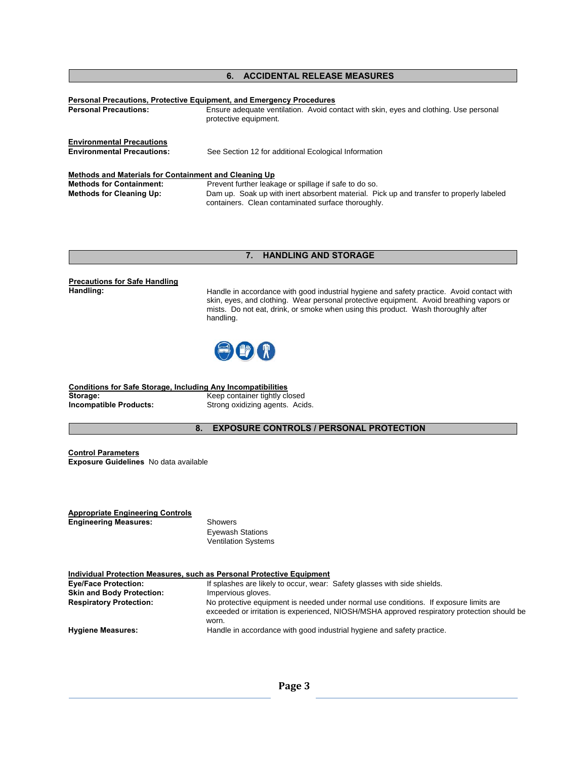## **6. ACCIDENTAL RELEASE MEASURES**

| <b>Personal Precautions:</b>                                                                                                | <b>Personal Precautions, Protective Equipment, and Emergency Procedures</b><br>Ensure adequate ventilation. Avoid contact with skin, eyes and clothing. Use personal<br>protective equipment.          |
|-----------------------------------------------------------------------------------------------------------------------------|--------------------------------------------------------------------------------------------------------------------------------------------------------------------------------------------------------|
| <b>Environmental Precautions</b><br><b>Environmental Precautions:</b>                                                       | See Section 12 for additional Ecological Information                                                                                                                                                   |
| Methods and Materials for Containment and Cleaning Up<br><b>Methods for Containment:</b><br><b>Methods for Cleaning Up:</b> | Prevent further leakage or spillage if safe to do so.<br>Dam up. Soak up with inert absorbent material. Pick up and transfer to properly labeled<br>containers. Clean contaminated surface thoroughly. |

### **7. HANDLING AND STORAGE**

# **Precautions for Safe Handling**

Handle in accordance with good industrial hygiene and safety practice. Avoid contact with skin, eyes, and clothing. Wear personal protective equipment. Avoid breathing vapors or mists. Do not eat, drink, or smoke when using this product. Wash thoroughly after handling.



**Conditions for Safe Storage, Including Any Incompatibilities Storage:** Keep container tightly closed **Incompatible Products:** Strong oxidizing agents. Acids.

**8. EXPOSURE CONTROLS / PERSONAL PROTECTION** 

**Control Parameters Exposure Guidelines** No data available

| <b>Appropriate Engineering Controls</b> |                         |
|-----------------------------------------|-------------------------|
| <b>Engineering Measures:</b>            | Showers                 |
|                                         | <b>Eyewash Stations</b> |

Ventilation Systems

| Individual Protection Measures, such as Personal Protective Equipment |                                                                                                                                                                                               |  |
|-----------------------------------------------------------------------|-----------------------------------------------------------------------------------------------------------------------------------------------------------------------------------------------|--|
| <b>Eye/Face Protection:</b>                                           | If splashes are likely to occur, wear: Safety glasses with side shields.                                                                                                                      |  |
| <b>Skin and Body Protection:</b>                                      | Impervious gloves.                                                                                                                                                                            |  |
| <b>Respiratory Protection:</b>                                        | No protective equipment is needed under normal use conditions. If exposure limits are<br>exceeded or irritation is experienced, NIOSH/MSHA approved respiratory protection should be<br>worn. |  |
| <b>Hygiene Measures:</b>                                              | Handle in accordance with good industrial hygiene and safety practice.                                                                                                                        |  |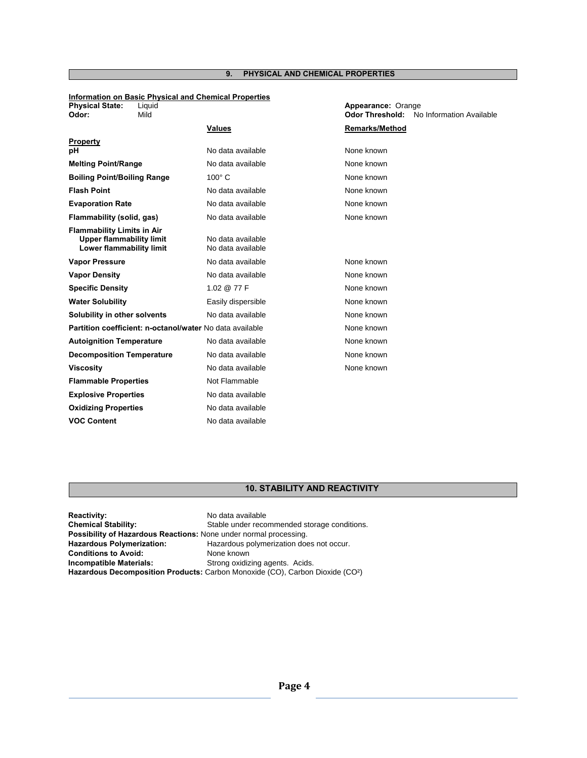## **9. PHYSICAL AND CHEMICAL PROPERTIES**

#### **Information on Basic Physical and Chemical Properties Physical State:** Liquid **Appearance:** Orange

| Odor:                              | Mild                                                        |                                        | <b>Odor Threshold:</b> | No Information Available |
|------------------------------------|-------------------------------------------------------------|----------------------------------------|------------------------|--------------------------|
|                                    |                                                             | Values                                 | Remarks/Method         |                          |
| <b>Property</b>                    |                                                             |                                        |                        |                          |
| рH                                 |                                                             | No data available                      | None known             |                          |
| <b>Melting Point/Range</b>         |                                                             | No data available                      | None known             |                          |
| <b>Boiling Point/Boiling Range</b> |                                                             | $100^\circ$ C                          | None known             |                          |
| <b>Flash Point</b>                 |                                                             | No data available                      | None known             |                          |
| <b>Evaporation Rate</b>            |                                                             | No data available                      | None known             |                          |
| Flammability (solid, gas)          |                                                             | No data available                      | None known             |                          |
| <b>Flammability Limits in Air</b>  | <b>Upper flammability limit</b><br>Lower flammability limit | No data available<br>No data available |                        |                          |
| <b>Vapor Pressure</b>              |                                                             | No data available                      | None known             |                          |
| <b>Vapor Density</b>               |                                                             | No data available                      | None known             |                          |
| <b>Specific Density</b>            |                                                             | 1.02 @ 77 F                            | None known             |                          |
| <b>Water Solubility</b>            |                                                             | Easily dispersible                     | None known             |                          |
| Solubility in other solvents       |                                                             | No data available                      | None known             |                          |
|                                    | Partition coefficient: n-octanol/water No data available    |                                        | None known             |                          |
| <b>Autoignition Temperature</b>    |                                                             | No data available                      | None known             |                          |
| <b>Decomposition Temperature</b>   |                                                             | No data available                      | None known             |                          |
| <b>Viscosity</b>                   |                                                             | No data available                      | None known             |                          |
| <b>Flammable Properties</b>        |                                                             | Not Flammable                          |                        |                          |
| <b>Explosive Properties</b>        |                                                             | No data available                      |                        |                          |
| <b>Oxidizing Properties</b>        |                                                             | No data available                      |                        |                          |
| <b>VOC Content</b>                 |                                                             | No data available                      |                        |                          |

## **10. STABILITY AND REACTIVITY**

| <b>Reactivity:</b>                                                       | No data available                                                                         |  |
|--------------------------------------------------------------------------|-------------------------------------------------------------------------------------------|--|
| <b>Chemical Stability:</b>                                               | Stable under recommended storage conditions.                                              |  |
| <b>Possibility of Hazardous Reactions: None under normal processing.</b> |                                                                                           |  |
| <b>Hazardous Polymerization:</b>                                         | Hazardous polymerization does not occur.                                                  |  |
| <b>Conditions to Avoid:</b>                                              | None known                                                                                |  |
| <b>Incompatible Materials:</b>                                           | Strong oxidizing agents. Acids.                                                           |  |
|                                                                          | Hazardous Decomposition Products: Carbon Monoxide (CO), Carbon Dioxide (CO <sup>2</sup> ) |  |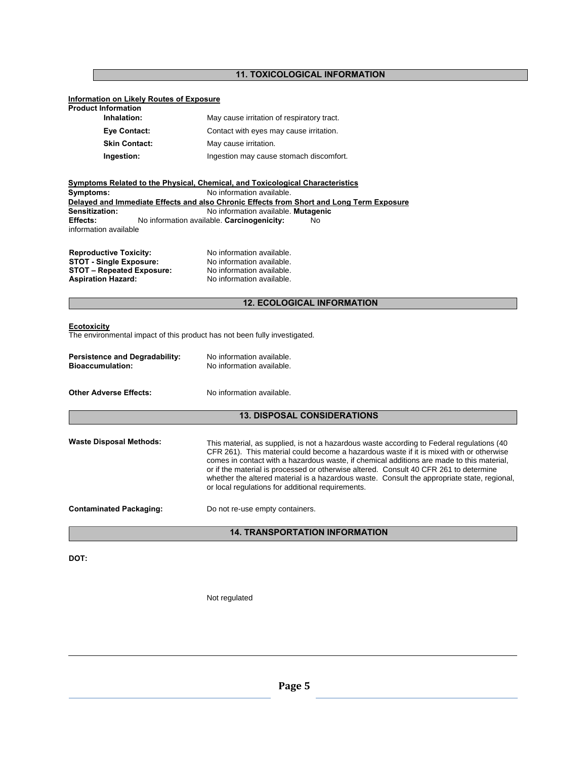## **11. TOXICOLOGICAL INFORMATION**

## **Information on Likely Routes of Exposure**

| <b>Product Information</b> |                                            |
|----------------------------|--------------------------------------------|
| Inhalation:                | May cause irritation of respiratory tract. |
| Eye Contact:               | Contact with eyes may cause irritation.    |
| <b>Skin Contact:</b>       | May cause irritation.                      |
| Ingestion:                 | Ingestion may cause stomach discomfort.    |

|                               | Symptoms Related to the Physical, Chemical, and Toxicological Characteristics            |  |  |
|-------------------------------|------------------------------------------------------------------------------------------|--|--|
| Symptoms:                     | No information available.                                                                |  |  |
|                               | Delayed and Immediate Effects and also Chronic Effects from Short and Long Term Exposure |  |  |
| <b>Sensitization:</b>         | No information available. Mutagenic                                                      |  |  |
| <b>Effects:</b>               | No information available. Carcinogenicity:<br>No.                                        |  |  |
| information available         |                                                                                          |  |  |
| <b>Reproductive Toxicity:</b> | No information available.                                                                |  |  |

| <b>Reproductive Toxicity:</b>    | No information available. |
|----------------------------------|---------------------------|
| <b>STOT - Single Exposure:</b>   | No information available. |
| <b>STOT - Repeated Exposure:</b> | No information available. |
| <b>Aspiration Hazard:</b>        | No information available. |

## **12. ECOLOGICAL INFORMATION**

#### **Ecotoxicity**

The environmental impact of this product has not been fully investigated.

| <b>Persistence and Degradability:</b> | No information available. |
|---------------------------------------|---------------------------|
| <b>Bioaccumulation:</b>               | No information available. |
|                                       |                           |

**Other Adverse Effects:** No information available.

## **13. DISPOSAL CONSIDERATIONS**

| Waste Disposal Methods: | This material, as supplied, is not a hazardous waste according to Federal regulations (40)<br>CFR 261). This material could become a hazardous waste if it is mixed with or otherwise<br>comes in contact with a hazardous waste, if chemical additions are made to this material,<br>or if the material is processed or otherwise altered. Consult 40 CFR 261 to determine<br>whether the altered material is a hazardous waste. Consult the appropriate state, regional,<br>or local regulations for additional requirements. |
|-------------------------|---------------------------------------------------------------------------------------------------------------------------------------------------------------------------------------------------------------------------------------------------------------------------------------------------------------------------------------------------------------------------------------------------------------------------------------------------------------------------------------------------------------------------------|
|                         |                                                                                                                                                                                                                                                                                                                                                                                                                                                                                                                                 |

**Contaminated Packaging:** Do not re-use empty containers.

# **14. TRANSPORTATION INFORMATION**

**DOT:** 

Not regulated